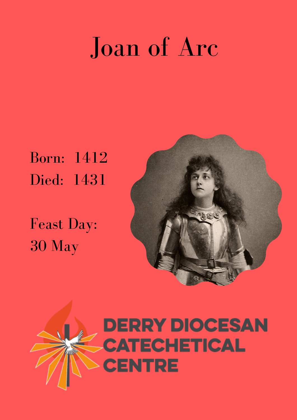## Joan of Arc

Born: 1412 Died: 1431

Feast Day: 30 May